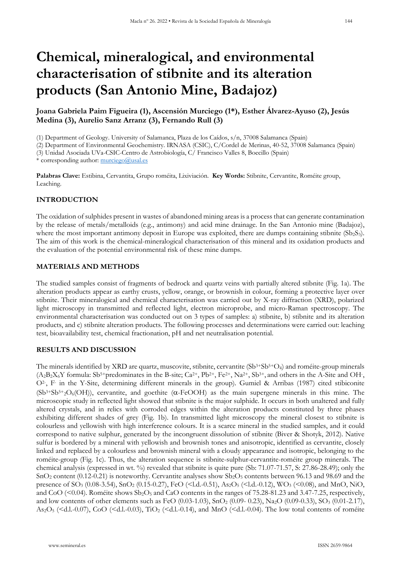# **Chemical, mineralogical, and environmental characterisation of stibnite and its alteration products (San Antonio Mine, Badajoz)**

**Joana Gabriela Paim Figueira (1), Ascensión Murciego (1\*), Esther Álvarez-Ayuso (2), Jesús Medina (3), Aurelio Sanz Arranz (3), Fernando Rull (3)**

(1) Department of Geology. University of Salamanca, Plaza de los Caídos, s/n, 37008 Salamanca (Spain)

(2) Department of Environmental Geochemistry. IRNASA (CSIC), C/Cordel de Merinas, 40-52, 37008 Salamanca (Spain)

(3) Unidad Asociada UVa-CSIC-Centro de Astrobiología, C/ Francisco Valles 8, Boecillo (Spain)

\* corresponding author:  $\text{murciego}(a)$ usal.es

**Palabras Clave:** Estibina, Cervantita, Grupo roméita, Lixiviación. **Key Words:** Stibnite, Cervantite, Roméite group, Leaching.

## **INTRODUCTION**

The oxidation of sulphides present in wastes of abandoned mining areas is a process that can generate contamination by the release of metals/metalloids (e.g., antimony) and acid mine drainage. In the San Antonio mine (Badajoz), where the most important antimony deposit in Europe was exploited, there are dumps containing stibnite  $(Sb<sub>2</sub>S<sub>3</sub>)$ . The aim of this work is the chemical-mineralogical characterisation of this mineral and its oxidation products and the evaluation of the potential environmental risk of these mine dumps.

## **MATERIALS AND METHODS**

The studied samples consist of fragments of bedrock and quartz veins with partially altered stibnite (Fig. 1a). The alteration products appear as earthy crusts, yellow, orange, or brownish in colour, forming a protective layer over stibnite. Their mineralogical and chemical characterisation was carried out by X-ray diffraction (XRD), polarized light microscopy in transmitted and reflected light, electron microprobe, and micro-Raman spectroscopy. The environmental characterisation was conducted out on 3 types of samples: a) stibnite, b) stibnite and its alteration products, and c) stibnite alteration products. The following processes and determinations were carried out: leaching test, bioavailability test, chemical fractionation, pH and net neutralisation potential.

## **RESULTS AND DISCUSSION**

The minerals identified by XRD are quartz, muscovite, stibnite, cervantite  $(Sb<sup>3+</sup> Sb<sup>5+</sup>O<sub>4</sub>)$  and roméite-group minerals  $(A_2B_2X_6Y$  formula: Sb<sup>5+</sup>predominates in the B-site; Ca<sup>2+</sup>, Pb<sup>2+</sup>, Fe<sup>2+</sup>, Na<sup>2+</sup>, Sb<sup>3+</sup>, and others in the A-Site and OH-, O2-, F- in the Y-Site, determining different minerals in the group). Gumiel & Arribas (1987) cited stibiconite  $(Sb<sup>3+</sup> Sb<sup>5+</sup><sub>2</sub>O<sub>6</sub>(OH))$ , cervantite, and goethite ( $\alpha$ -FeOOH) as the main supergene minerals in this mine. The microscopic study in reflected light showed that stibnite is the major sulphide. It occurs in both unaltered and fully altered crystals, and in relics with corroded edges within the alteration products constituted by three phases exhibiting different shades of grey (Fig. 1b). In transmitted light microscopy the mineral closest to stibnite is colourless and yellowish with high interference colours. It is a scarce mineral in the studied samples, and it could correspond to native sulphur, generated by the incongruent dissolution of stibnite (Biver & Shotyk, 2012). Native sulfur is bordered by a mineral with yellowish and brownish tones and anisotropic, identified as cervantite, closely linked and replaced by a colourless and brownish mineral with a cloudy appearance and isotropic, belonging to the roméite-group (Fig. 1c). Thus, the alteration sequence is stibnite-sulphur-cervantite-roméite group minerals. The chemical analysis (expressed in wt. %) revealed that stibnite is quite pure (Sb: 71.07-71.57, S: 27.86-28.49); only the SnO<sub>2</sub> content (0.12-0.21) is noteworthy. Cervantite analyses show  $Sb<sub>2</sub>O<sub>5</sub>$  contents between 96.13 and 98.69 and the presence of SO3 (0.08-3.54), SnO2 (0.15-0.27), FeO (<l.d.-0.51), As2O5 (<l.d.-0.12), WO3 (<0.08), and MnO, NiO, and CoO ( $\leq 0.04$ ). Roméite shows Sb<sub>2</sub>O<sub>5</sub> and CaO contents in the ranges of 75.28-81.23 and 3.47-7.25, respectively, and low contents of other elements such as FeO (0.03-1.03), SnO<sub>2</sub> (0.09-0.23), Na<sub>2</sub>O (0.09-0.33), SO<sub>3</sub> (0.01-2.17),  $\text{As}_2\text{O}_5$  (<d.l.-0.07), CoO (<d.l.-0.03), TiO<sub>2</sub> (<d.l.-0.14), and MnO (<d.l.-0.04). The low total contents of roméite